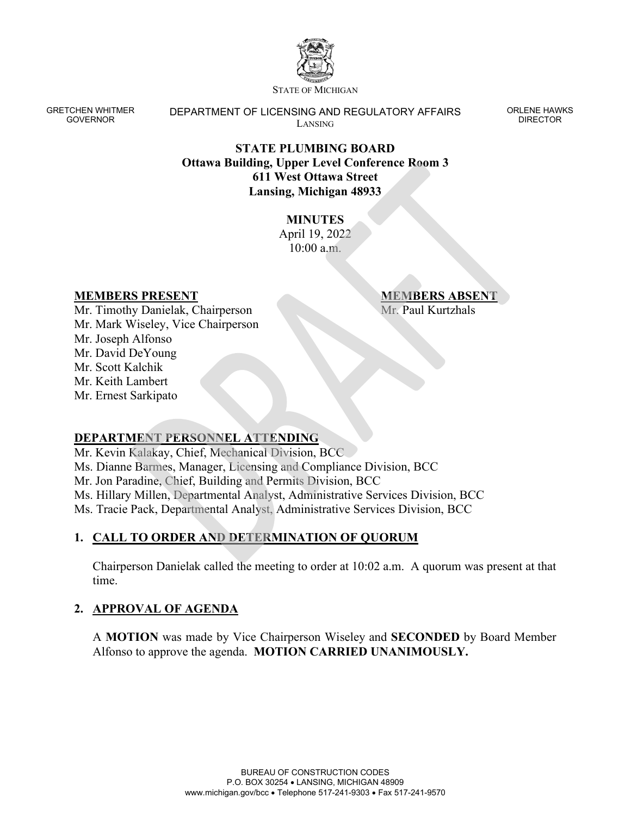

STATE OF MICHIGAN

GRETCHEN WHITMER GOVERNOR

DEPARTMENT OF LICENSING AND REGULATORY AFFAIRS LANSING

ORLENE HAWKS DIRECTOR

### **STATE PLUMBING BOARD Ottawa Building, Upper Level Conference Room 3 611 West Ottawa Street Lansing, Michigan 48933**

## **MINUTES**

April 19, 2022 10:00 a.m.

#### **MEMBERS PRESENT**

**MEMBERS ABSENT** Mr. Paul Kurtzhals

Mr. Timothy Danielak, Chairperson Mr. Mark Wiseley, Vice Chairperson Mr. Joseph Alfonso Mr. David DeYoung Mr. Scott Kalchik Mr. Keith Lambert Mr. Ernest Sarkipato

# **DEPARTMENT PERSONNEL ATTENDING**

Mr. Kevin Kalakay, Chief, Mechanical Division, BCC Ms. Dianne Barmes, Manager, Licensing and Compliance Division, BCC Mr. Jon Paradine, Chief, Building and Permits Division, BCC Ms. Hillary Millen, Departmental Analyst, Administrative Services Division, BCC Ms. Tracie Pack, Departmental Analyst, Administrative Services Division, BCC

# **1. CALL TO ORDER AND DETERMINATION OF QUORUM**

Chairperson Danielak called the meeting to order at 10:02 a.m. A quorum was present at that time.

### **2. APPROVAL OF AGENDA**

A **MOTION** was made by Vice Chairperson Wiseley and **SECONDED** by Board Member Alfonso to approve the agenda. **MOTION CARRIED UNANIMOUSLY.**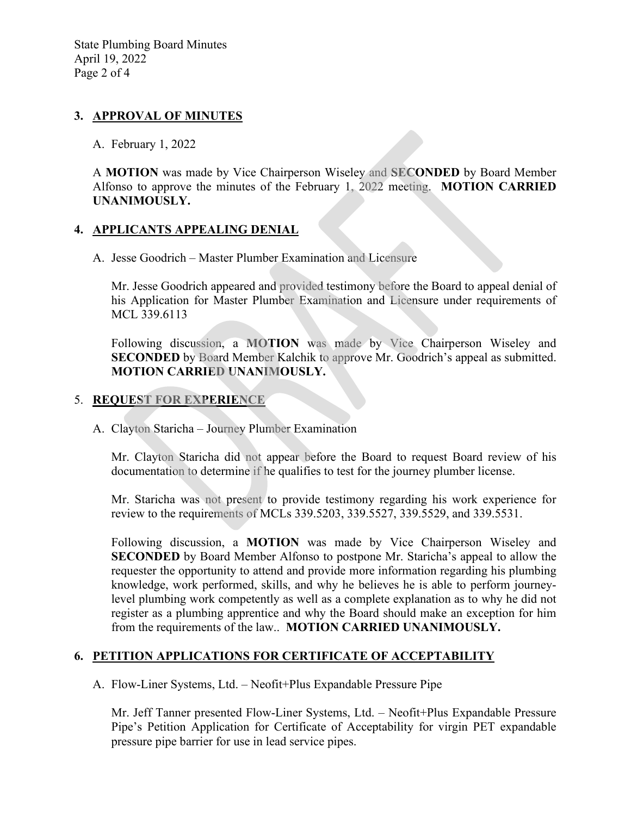#### **3. APPROVAL OF MINUTES**

A. February 1, 2022

A **MOTION** was made by Vice Chairperson Wiseley and **SECONDED** by Board Member Alfonso to approve the minutes of the February 1, 2022 meeting. **MOTION CARRIED UNANIMOUSLY.** 

### **4. APPLICANTS APPEALING DENIAL**

A. Jesse Goodrich – Master Plumber Examination and Licensure

Mr. Jesse Goodrich appeared and provided testimony before the Board to appeal denial of his Application for Master Plumber Examination and Licensure under requirements of MCL 339.6113

Following discussion, a **MOTION** was made by Vice Chairperson Wiseley and **SECONDED** by Board Member Kalchik to approve Mr. Goodrich's appeal as submitted. **MOTION CARRIED UNANIMOUSLY.**

### 5. **REQUEST FOR EXPERIENCE**

A. Clayton Staricha – Journey Plumber Examination

Mr. Clayton Staricha did not appear before the Board to request Board review of his documentation to determine if he qualifies to test for the journey plumber license.

Mr. Staricha was not present to provide testimony regarding his work experience for review to the requirements of MCLs 339.5203, 339.5527, 339.5529, and 339.5531.

Following discussion, a **MOTION** was made by Vice Chairperson Wiseley and **SECONDED** by Board Member Alfonso to postpone Mr. Staricha's appeal to allow the requester the opportunity to attend and provide more information regarding his plumbing knowledge, work performed, skills, and why he believes he is able to perform journeylevel plumbing work competently as well as a complete explanation as to why he did not register as a plumbing apprentice and why the Board should make an exception for him from the requirements of the law.. **MOTION CARRIED UNANIMOUSLY.**

### **6. PETITION APPLICATIONS FOR CERTIFICATE OF ACCEPTABILITY**

A. Flow-Liner Systems, Ltd. – Neofit+Plus Expandable Pressure Pipe

Mr. Jeff Tanner presented Flow-Liner Systems, Ltd. – Neofit+Plus Expandable Pressure Pipe's Petition Application for Certificate of Acceptability for virgin PET expandable pressure pipe barrier for use in lead service pipes.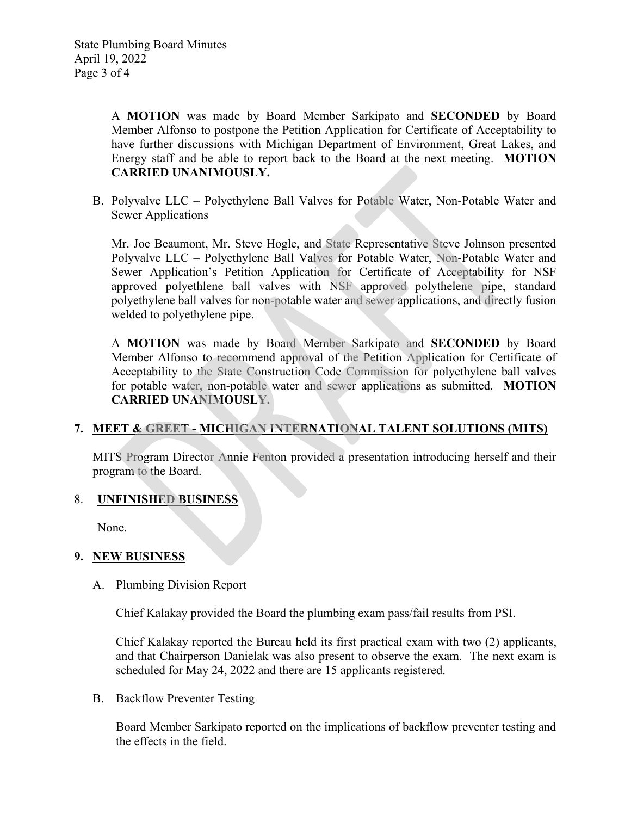A **MOTION** was made by Board Member Sarkipato and **SECONDED** by Board Member Alfonso to postpone the Petition Application for Certificate of Acceptability to have further discussions with Michigan Department of Environment, Great Lakes, and Energy staff and be able to report back to the Board at the next meeting. **MOTION CARRIED UNANIMOUSLY.** 

B. Polyvalve LLC – Polyethylene Ball Valves for Potable Water, Non-Potable Water and Sewer Applications

Mr. Joe Beaumont, Mr. Steve Hogle, and State Representative Steve Johnson presented Polyvalve LLC – Polyethylene Ball Valves for Potable Water, Non-Potable Water and Sewer Application's Petition Application for Certificate of Acceptability for NSF approved polyethlene ball valves with NSF approved polythelene pipe, standard polyethylene ball valves for non-potable water and sewer applications, and directly fusion welded to polyethylene pipe.

A **MOTION** was made by Board Member Sarkipato and **SECONDED** by Board Member Alfonso to recommend approval of the Petition Application for Certificate of Acceptability to the State Construction Code Commission for polyethylene ball valves for potable water, non-potable water and sewer applications as submitted. **MOTION CARRIED UNANIMOUSLY.** 

### **7. MEET & GREET - MICHIGAN INTERNATIONAL TALENT SOLUTIONS (MITS)**

MITS Program Director Annie Fenton provided a presentation introducing herself and their program to the Board.

#### 8. **UNFINISHED BUSINESS**

None.

#### **9. NEW BUSINESS**

A. Plumbing Division Report

Chief Kalakay provided the Board the plumbing exam pass/fail results from PSI.

Chief Kalakay reported the Bureau held its first practical exam with two (2) applicants, and that Chairperson Danielak was also present to observe the exam. The next exam is scheduled for May 24, 2022 and there are 15 applicants registered.

B. Backflow Preventer Testing

Board Member Sarkipato reported on the implications of backflow preventer testing and the effects in the field.